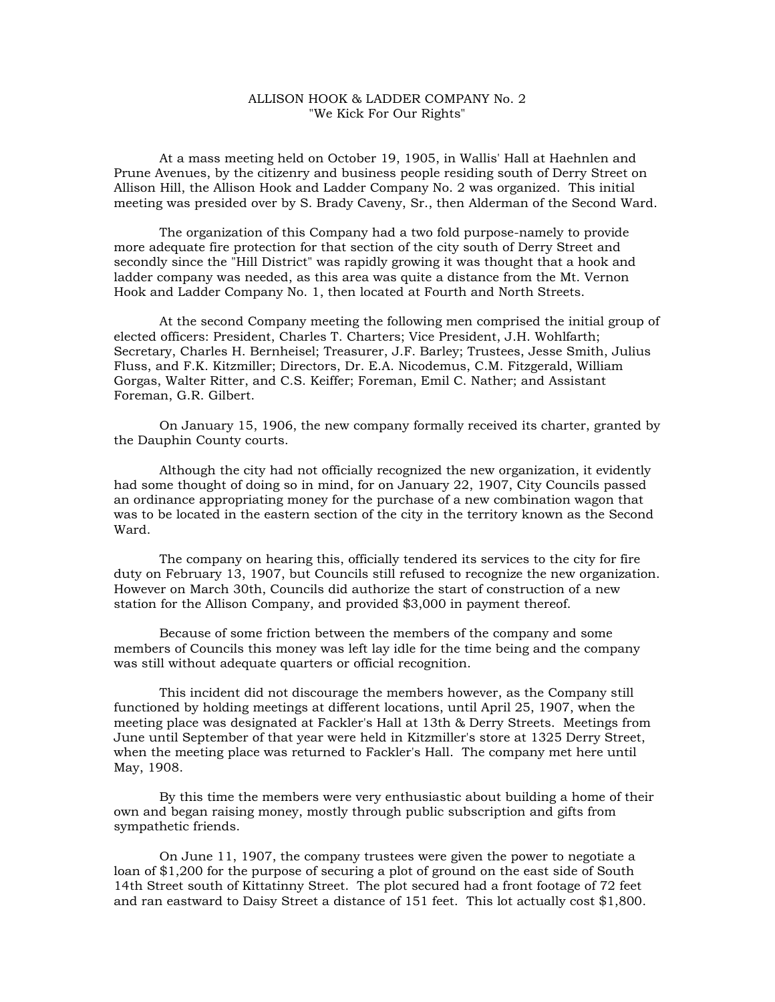## ALLISON HOOK & LADDER COMPANY No. 2 "We Kick For Our Rights"

At a mass meeting held on October 19, 1905, in Wallis' Hall at Haehnlen and Prune Avenues, by the citizenry and business people residing south of Derry Street on Allison Hill, the Allison Hook and Ladder Company No. 2 was organized. This initial meeting was presided over by S. Brady Caveny, Sr., then Alderman of the Second Ward.

The organization of this Company had a two fold purpose-namely to provide more adequate fire protection for that section of the city south of Derry Street and secondly since the "Hill District" was rapidly growing it was thought that a hook and ladder company was needed, as this area was quite a distance from the Mt. Vernon Hook and Ladder Company No. 1, then located at Fourth and North Streets.

At the second Company meeting the following men comprised the initial group of elected officers: President, Charles T. Charters; Vice President, J.H. Wohlfarth; Secretary, Charles H. Bernheisel; Treasurer, J.F. Barley; Trustees, Jesse Smith, Julius Fluss, and F.K. Kitzmiller; Directors, Dr. E.A. Nicodemus, C.M. Fitzgerald, William Gorgas, Walter Ritter, and C.S. Keiffer; Foreman, Emil C. Nather; and Assistant Foreman, G.R. Gilbert.

On January 15, 1906, the new company formally received its charter, granted by the Dauphin County courts.

Although the city had not officially recognized the new organization, it evidently had some thought of doing so in mind, for on January 22, 1907, City Councils passed an ordinance appropriating money for the purchase of a new combination wagon that was to be located in the eastern section of the city in the territory known as the Second Ward.

The company on hearing this, officially tendered its services to the city for fire duty on February 13, 1907, but Councils still refused to recognize the new organization. However on March 30th, Councils did authorize the start of construction of a new station for the Allison Company, and provided \$3,000 in payment thereof.

Because of some friction between the members of the company and some members of Councils this money was left lay idle for the time being and the company was still without adequate quarters or official recognition.

This incident did not discourage the members however, as the Company still functioned by holding meetings at different locations, until April 25, 1907, when the meeting place was designated at Fackler's Hall at 13th & Derry Streets. Meetings from June until September of that year were held in Kitzmiller's store at 1325 Derry Street, when the meeting place was returned to Fackler's Hall. The company met here until May, 1908.

By this time the members were very enthusiastic about building a home of their own and began raising money, mostly through public subscription and gifts from sympathetic friends.

On June 11, 1907, the company trustees were given the power to negotiate a loan of \$1,200 for the purpose of securing a plot of ground on the east side of South 14th Street south of Kittatinny Street. The plot secured had a front footage of 72 feet and ran eastward to Daisy Street a distance of 151 feet. This lot actually cost \$1,800.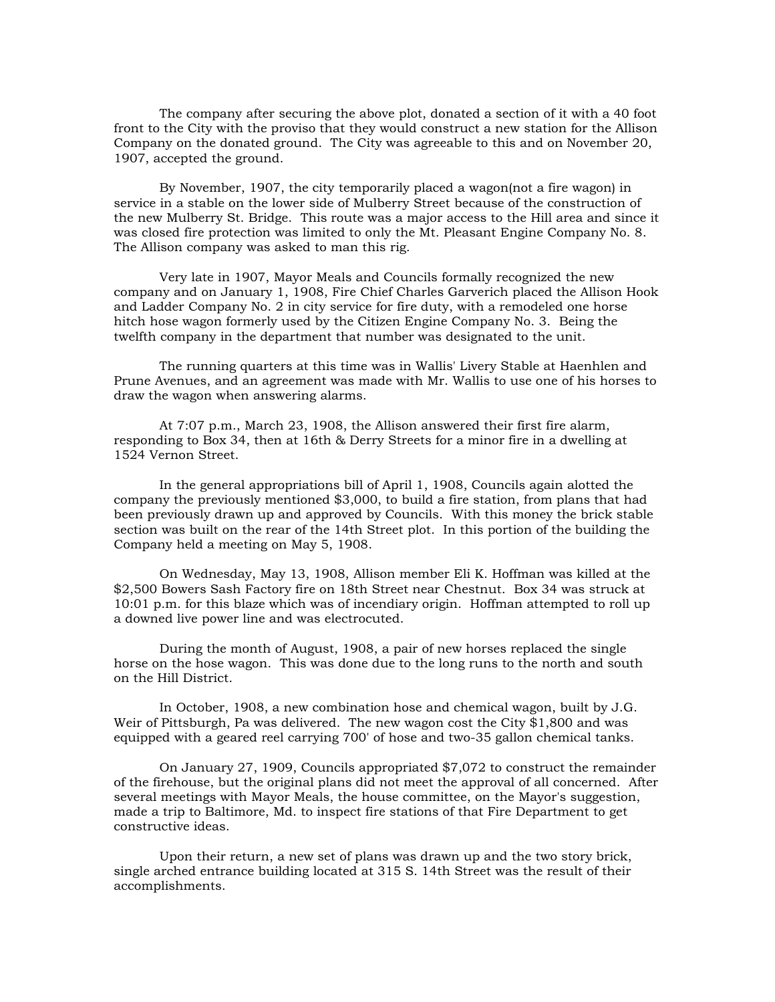The company after securing the above plot, donated a section of it with a 40 foot front to the City with the proviso that they would construct a new station for the Allison Company on the donated ground. The City was agreeable to this and on November 20, 1907, accepted the ground.

By November, 1907, the city temporarily placed a wagon(not a fire wagon) in service in a stable on the lower side of Mulberry Street because of the construction of the new Mulberry St. Bridge. This route was a major access to the Hill area and since it was closed fire protection was limited to only the Mt. Pleasant Engine Company No. 8. The Allison company was asked to man this rig.

Very late in 1907, Mayor Meals and Councils formally recognized the new company and on January 1, 1908, Fire Chief Charles Garverich placed the Allison Hook and Ladder Company No. 2 in city service for fire duty, with a remodeled one horse hitch hose wagon formerly used by the Citizen Engine Company No. 3. Being the twelfth company in the department that number was designated to the unit.

The running quarters at this time was in Wallis' Livery Stable at Haenhlen and Prune Avenues, and an agreement was made with Mr. Wallis to use one of his horses to draw the wagon when answering alarms.

At 7:07 p.m., March 23, 1908, the Allison answered their first fire alarm, responding to Box 34, then at 16th & Derry Streets for a minor fire in a dwelling at 1524 Vernon Street.

In the general appropriations bill of April 1, 1908, Councils again alotted the company the previously mentioned \$3,000, to build a fire station, from plans that had been previously drawn up and approved by Councils. With this money the brick stable section was built on the rear of the 14th Street plot. In this portion of the building the Company held a meeting on May 5, 1908.

On Wednesday, May 13, 1908, Allison member Eli K. Hoffman was killed at the \$2,500 Bowers Sash Factory fire on 18th Street near Chestnut. Box 34 was struck at 10:01 p.m. for this blaze which was of incendiary origin. Hoffman attempted to roll up a downed live power line and was electrocuted.

During the month of August, 1908, a pair of new horses replaced the single horse on the hose wagon. This was done due to the long runs to the north and south on the Hill District.

In October, 1908, a new combination hose and chemical wagon, built by J.G. Weir of Pittsburgh, Pa was delivered. The new wagon cost the City \$1,800 and was equipped with a geared reel carrying 700' of hose and two-35 gallon chemical tanks.

On January 27, 1909, Councils appropriated \$7,072 to construct the remainder of the firehouse, but the original plans did not meet the approval of all concerned. After several meetings with Mayor Meals, the house committee, on the Mayor's suggestion, made a trip to Baltimore, Md. to inspect fire stations of that Fire Department to get constructive ideas.

Upon their return, a new set of plans was drawn up and the two story brick, single arched entrance building located at 315 S. 14th Street was the result of their accomplishments.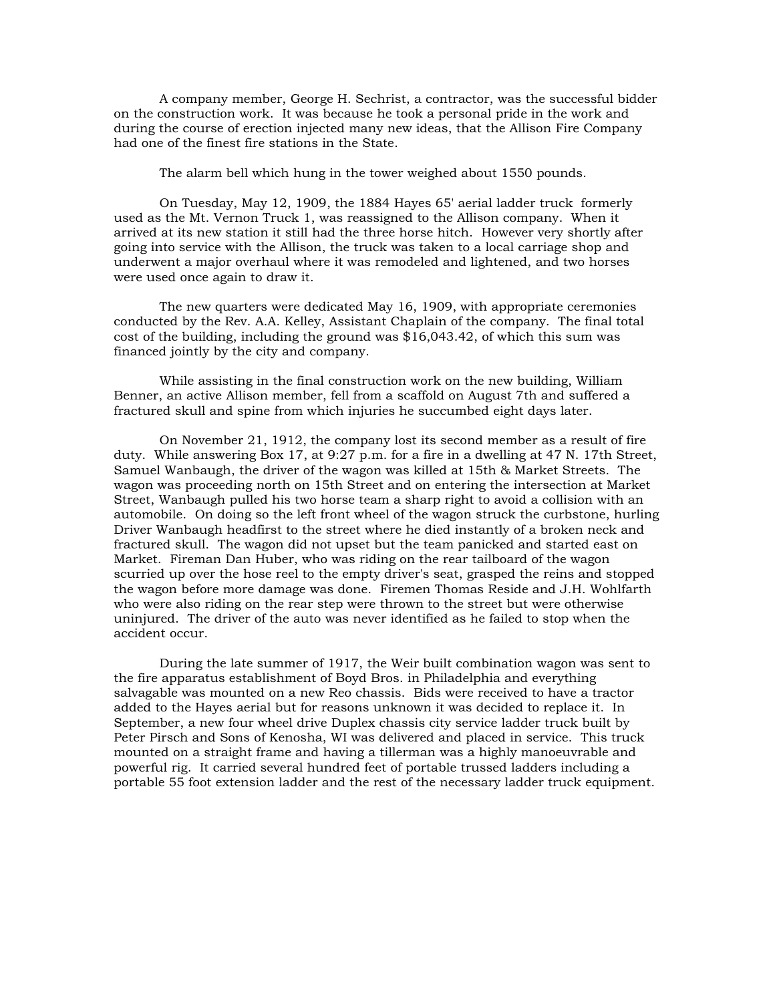A company member, George H. Sechrist, a contractor, was the successful bidder on the construction work. It was because he took a personal pride in the work and during the course of erection injected many new ideas, that the Allison Fire Company had one of the finest fire stations in the State.

The alarm bell which hung in the tower weighed about 1550 pounds.

On Tuesday, May 12, 1909, the 1884 Hayes 65' aerial ladder truck formerly used as the Mt. Vernon Truck 1, was reassigned to the Allison company. When it arrived at its new station it still had the three horse hitch. However very shortly after going into service with the Allison, the truck was taken to a local carriage shop and underwent a major overhaul where it was remodeled and lightened, and two horses were used once again to draw it.

The new quarters were dedicated May 16, 1909, with appropriate ceremonies conducted by the Rev. A.A. Kelley, Assistant Chaplain of the company. The final total cost of the building, including the ground was \$16,043.42, of which this sum was financed jointly by the city and company.

While assisting in the final construction work on the new building, William Benner, an active Allison member, fell from a scaffold on August 7th and suffered a fractured skull and spine from which injuries he succumbed eight days later.

On November 21, 1912, the company lost its second member as a result of fire duty. While answering Box 17, at 9:27 p.m. for a fire in a dwelling at 47 N. 17th Street, Samuel Wanbaugh, the driver of the wagon was killed at 15th & Market Streets. The wagon was proceeding north on 15th Street and on entering the intersection at Market Street, Wanbaugh pulled his two horse team a sharp right to avoid a collision with an automobile. On doing so the left front wheel of the wagon struck the curbstone, hurling Driver Wanbaugh headfirst to the street where he died instantly of a broken neck and fractured skull. The wagon did not upset but the team panicked and started east on Market. Fireman Dan Huber, who was riding on the rear tailboard of the wagon scurried up over the hose reel to the empty driver's seat, grasped the reins and stopped the wagon before more damage was done. Firemen Thomas Reside and J.H. Wohlfarth who were also riding on the rear step were thrown to the street but were otherwise uninjured. The driver of the auto was never identified as he failed to stop when the accident occur.

During the late summer of 1917, the Weir built combination wagon was sent to the fire apparatus establishment of Boyd Bros. in Philadelphia and everything salvagable was mounted on a new Reo chassis. Bids were received to have a tractor added to the Hayes aerial but for reasons unknown it was decided to replace it. In September, a new four wheel drive Duplex chassis city service ladder truck built by Peter Pirsch and Sons of Kenosha, WI was delivered and placed in service. This truck mounted on a straight frame and having a tillerman was a highly manoeuvrable and powerful rig. It carried several hundred feet of portable trussed ladders including a portable 55 foot extension ladder and the rest of the necessary ladder truck equipment.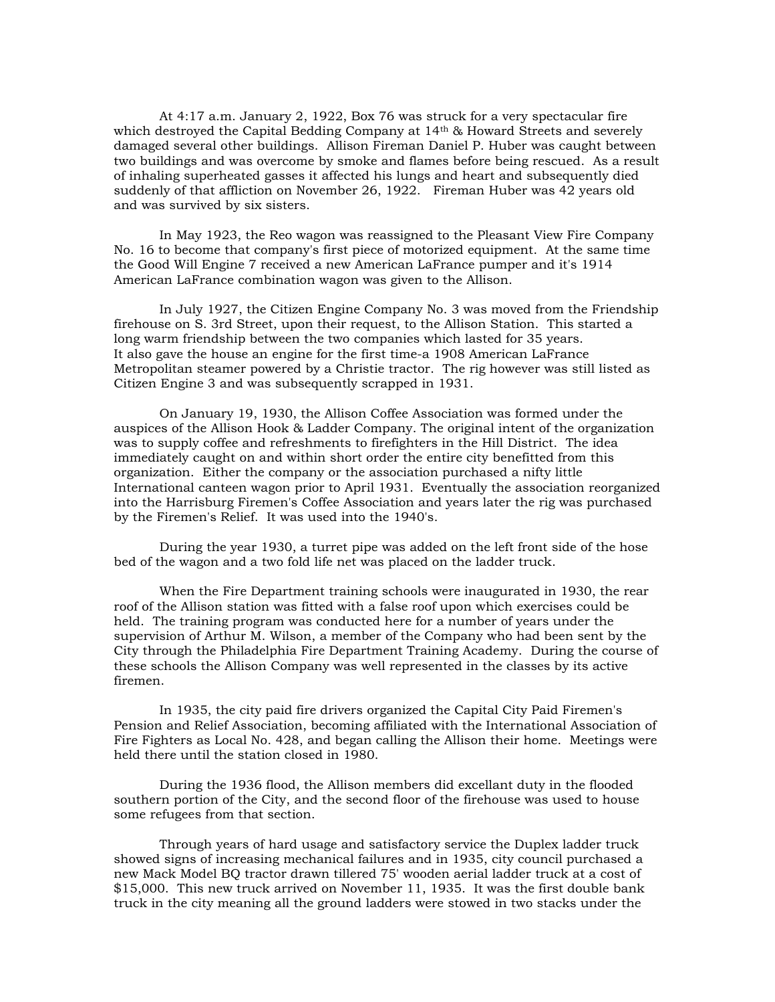At 4:17 a.m. January 2, 1922, Box 76 was struck for a very spectacular fire which destroyed the Capital Bedding Company at 14<sup>th</sup> & Howard Streets and severely damaged several other buildings. Allison Fireman Daniel P. Huber was caught between two buildings and was overcome by smoke and flames before being rescued. As a result of inhaling superheated gasses it affected his lungs and heart and subsequently died suddenly of that affliction on November 26, 1922. Fireman Huber was 42 years old and was survived by six sisters.

In May 1923, the Reo wagon was reassigned to the Pleasant View Fire Company No. 16 to become that company's first piece of motorized equipment. At the same time the Good Will Engine 7 received a new American LaFrance pumper and it's 1914 American LaFrance combination wagon was given to the Allison.

In July 1927, the Citizen Engine Company No. 3 was moved from the Friendship firehouse on S. 3rd Street, upon their request, to the Allison Station. This started a long warm friendship between the two companies which lasted for 35 years. It also gave the house an engine for the first time-a 1908 American LaFrance Metropolitan steamer powered by a Christie tractor. The rig however was still listed as Citizen Engine 3 and was subsequently scrapped in 1931.

On January 19, 1930, the Allison Coffee Association was formed under the auspices of the Allison Hook & Ladder Company. The original intent of the organization was to supply coffee and refreshments to firefighters in the Hill District. The idea immediately caught on and within short order the entire city benefitted from this organization. Either the company or the association purchased a nifty little International canteen wagon prior to April 1931. Eventually the association reorganized into the Harrisburg Firemen's Coffee Association and years later the rig was purchased by the Firemen's Relief. It was used into the 1940's.

During the year 1930, a turret pipe was added on the left front side of the hose bed of the wagon and a two fold life net was placed on the ladder truck.

When the Fire Department training schools were inaugurated in 1930, the rear roof of the Allison station was fitted with a false roof upon which exercises could be held. The training program was conducted here for a number of years under the supervision of Arthur M. Wilson, a member of the Company who had been sent by the City through the Philadelphia Fire Department Training Academy. During the course of these schools the Allison Company was well represented in the classes by its active firemen.

In 1935, the city paid fire drivers organized the Capital City Paid Firemen's Pension and Relief Association, becoming affiliated with the International Association of Fire Fighters as Local No. 428, and began calling the Allison their home. Meetings were held there until the station closed in 1980.

During the 1936 flood, the Allison members did excellant duty in the flooded southern portion of the City, and the second floor of the firehouse was used to house some refugees from that section.

Through years of hard usage and satisfactory service the Duplex ladder truck showed signs of increasing mechanical failures and in 1935, city council purchased a new Mack Model BQ tractor drawn tillered 75' wooden aerial ladder truck at a cost of \$15,000. This new truck arrived on November 11, 1935. It was the first double bank truck in the city meaning all the ground ladders were stowed in two stacks under the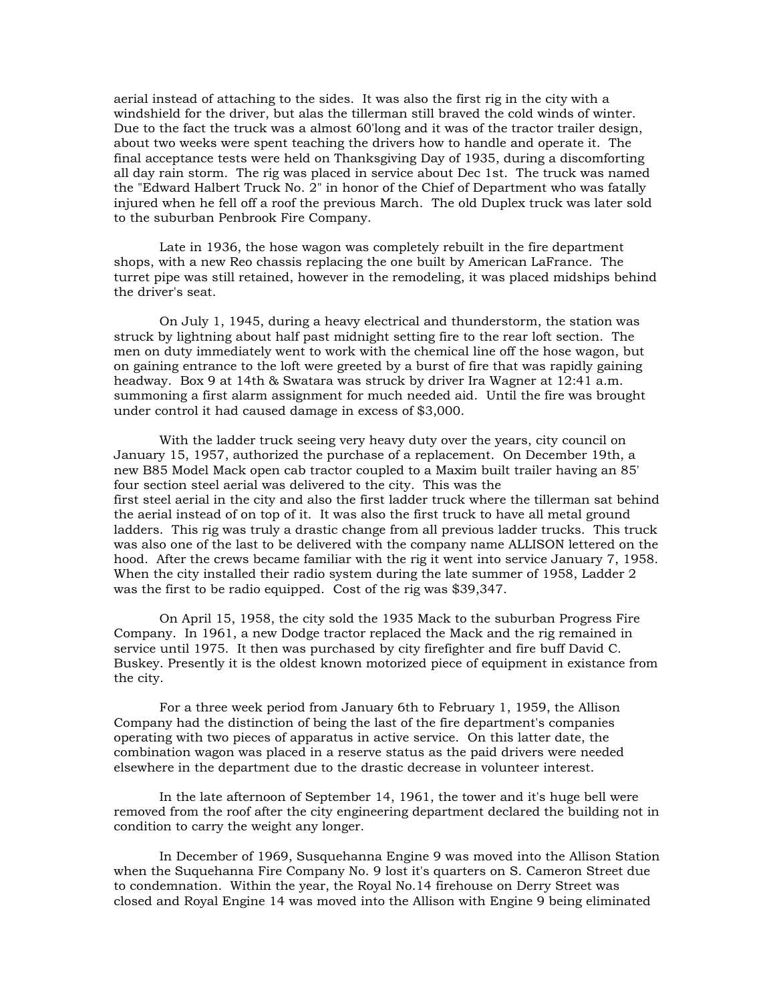aerial instead of attaching to the sides. It was also the first rig in the city with a windshield for the driver, but alas the tillerman still braved the cold winds of winter. Due to the fact the truck was a almost 60'long and it was of the tractor trailer design, about two weeks were spent teaching the drivers how to handle and operate it. The final acceptance tests were held on Thanksgiving Day of 1935, during a discomforting all day rain storm. The rig was placed in service about Dec 1st. The truck was named the "Edward Halbert Truck No. 2" in honor of the Chief of Department who was fatally injured when he fell off a roof the previous March. The old Duplex truck was later sold to the suburban Penbrook Fire Company.

Late in 1936, the hose wagon was completely rebuilt in the fire department shops, with a new Reo chassis replacing the one built by American LaFrance. The turret pipe was still retained, however in the remodeling, it was placed midships behind the driver's seat.

On July 1, 1945, during a heavy electrical and thunderstorm, the station was struck by lightning about half past midnight setting fire to the rear loft section. The men on duty immediately went to work with the chemical line off the hose wagon, but on gaining entrance to the loft were greeted by a burst of fire that was rapidly gaining headway. Box 9 at 14th & Swatara was struck by driver Ira Wagner at 12:41 a.m. summoning a first alarm assignment for much needed aid. Until the fire was brought under control it had caused damage in excess of \$3,000.

With the ladder truck seeing very heavy duty over the years, city council on January 15, 1957, authorized the purchase of a replacement. On December 19th, a new B85 Model Mack open cab tractor coupled to a Maxim built trailer having an 85' four section steel aerial was delivered to the city. This was the first steel aerial in the city and also the first ladder truck where the tillerman sat behind the aerial instead of on top of it. It was also the first truck to have all metal ground ladders. This rig was truly a drastic change from all previous ladder trucks. This truck was also one of the last to be delivered with the company name ALLISON lettered on the hood. After the crews became familiar with the rig it went into service January 7, 1958. When the city installed their radio system during the late summer of 1958, Ladder 2 was the first to be radio equipped. Cost of the rig was \$39,347.

On April 15, 1958, the city sold the 1935 Mack to the suburban Progress Fire Company. In 1961, a new Dodge tractor replaced the Mack and the rig remained in service until 1975. It then was purchased by city firefighter and fire buff David C. Buskey. Presently it is the oldest known motorized piece of equipment in existance from the city.

For a three week period from January 6th to February 1, 1959, the Allison Company had the distinction of being the last of the fire department's companies operating with two pieces of apparatus in active service. On this latter date, the combination wagon was placed in a reserve status as the paid drivers were needed elsewhere in the department due to the drastic decrease in volunteer interest.

In the late afternoon of September 14, 1961, the tower and it's huge bell were removed from the roof after the city engineering department declared the building not in condition to carry the weight any longer.

In December of 1969, Susquehanna Engine 9 was moved into the Allison Station when the Suquehanna Fire Company No. 9 lost it's quarters on S. Cameron Street due to condemnation. Within the year, the Royal No.14 firehouse on Derry Street was closed and Royal Engine 14 was moved into the Allison with Engine 9 being eliminated